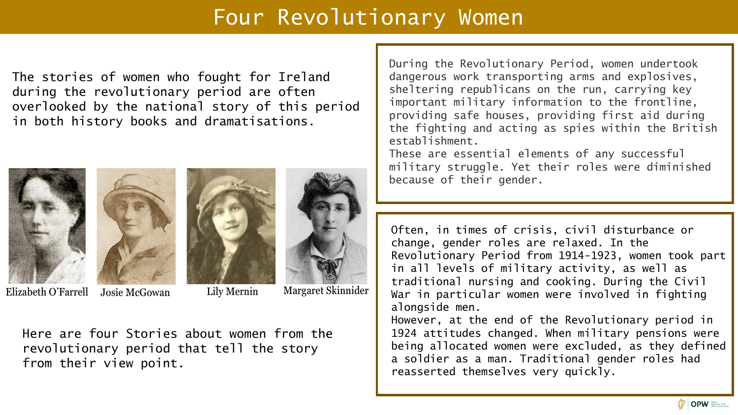# Four Revolutionary Women

The stories of women who fought for Ireland during the revolutionary period are often overlooked by the national story of this period in both history books and dramatisations.







Elizabeth O'Farrell Josie McGowan Lily Mernin Margaret Skinnider

Lily Mernin

Here are four Stories about women from the revolutionary period that tell the story from their view point.

During the Revolutionary Period, women undertook dangerous work transporting arms and explosives, sheltering republicans on the run, carrying key important military information to the frontline, providing safe houses, providing first aid during the fighting and acting as spies within the British establishment.

These are essential elements of any successful military struggle. Yet their roles were diminished because of their gender.

Often, in times of crisis, civil disturbance or change, gender roles are relaxed. In the Revolutionary Period from 1914-1923, women took part in all levels of military activity, as well as traditional nursing and cooking. During the Civil War in particular women were involved in fighting alongside men.

However, at the end of the Revolutionary period in 1924 attitudes changed. When military pensions were being allocated women were excluded, as they defined a soldier as a man. Traditional gender roles had reasserted themselves very quickly.

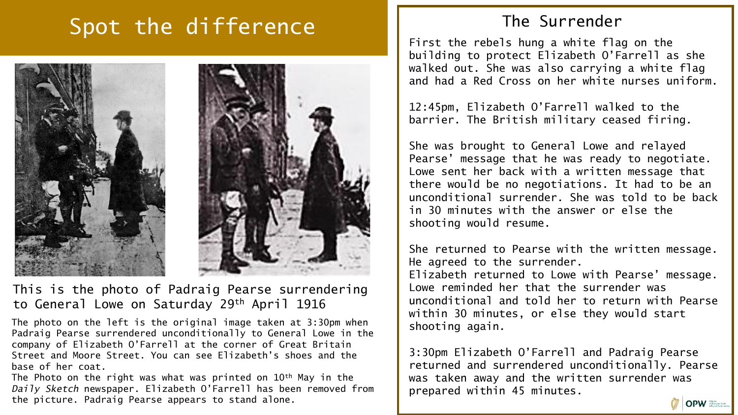# Spot the difference



### This is the photo of Padraig Pearse surrendering to General Lowe on Saturday 29th April 1916

The photo on the left is the original image taken at 3:30pm when Padraig Pearse surrendered unconditionally to General Lowe in the company of Elizabeth O'Farrell at the corner of Great Britain Street and Moore Street. You can see Elizabeth's shoes and the base of her coat.

The Photo on the right was what was printed on 10<sup>th</sup> May in the *Daily Sketch* newspaper. Elizabeth O'Farrell has been removed from the picture. Padraig Pearse appears to stand alone.

## The Surrender

First the rebels hung a white flag on the building to protect Elizabeth O'Farrell as she walked out. She was also carrying a white flag and had a Red Cross on her white nurses uniform.

12:45pm, Elizabeth O'Farrell walked to the barrier. The British military ceased firing.

She was brought to General Lowe and relayed Pearse' message that he was ready to negotiate. Lowe sent her back with a written message that there would be no negotiations. It had to be an unconditional surrender. She was told to be back in 30 minutes with the answer or else the shooting would resume.

She returned to Pearse with the written message. He agreed to the surrender. Elizabeth returned to Lowe with Pearse' message. Lowe reminded her that the surrender was unconditional and told her to return with Pearse within 30 minutes, or else they would start shooting again.

3:30pm Elizabeth O'Farrell and Padraig Pearse returned and surrendered unconditionally. Pearse was taken away and the written surrender was prepared within 45 minutes.

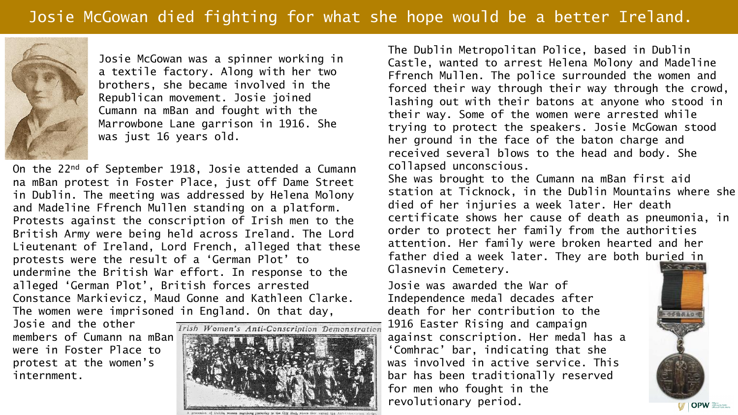

Josie McGowan was a spinner working in a textile factory. Along with her two brothers, she became involved in the Republican movement. Josie joined Cumann na mBan and fought with the Marrowbone Lane garrison in 1916. She was just 16 years old.

On the 22nd of September 1918, Josie attended a Cumann na mBan protest in Foster Place, just off Dame Street in Dublin. The meeting was addressed by Helena Molony and Madeline Ffrench Mullen standing on a platform. Protests against the conscription of Irish men to the British Army were being held across Ireland. The Lord Lieutenant of Ireland, Lord French, alleged that these protests were the result of a 'German Plot' to undermine the British War effort. In response to the alleged 'German Plot', British forces arrested Constance Markievicz, Maud Gonne and Kathleen Clarke. The women were imprisoned in England. On that day,

Josie and the other members of Cumann na mBan were in Foster Place to protest at the women's internment.



The Dublin Metropolitan Police, based in Dublin Castle, wanted to arrest Helena Molony and Madeline Ffrench Mullen. The police surrounded the women and forced their way through their way through the crowd, lashing out with their batons at anyone who stood in their way. Some of the women were arrested while trying to protect the speakers. Josie McGowan stood her ground in the face of the baton charge and received several blows to the head and body. She collapsed unconscious. She was brought to the Cumann na mBan first aid station at Ticknock, in the Dublin Mountains where she died of her injuries a week later. Her death certificate shows her cause of death as pneumonia, in order to protect her family from the authorities attention. Her family were broken hearted and her father died a week later. They are both buried in

Glasnevin Cemetery.

Josie was awarded the War of Independence medal decades after death for her contribution to the 1916 Easter Rising and campaign against conscription. Her medal has a 'Comhrac' bar, indicating that she was involved in active service. This bar has been traditionally reserved for men who fought in the revolutionary period.

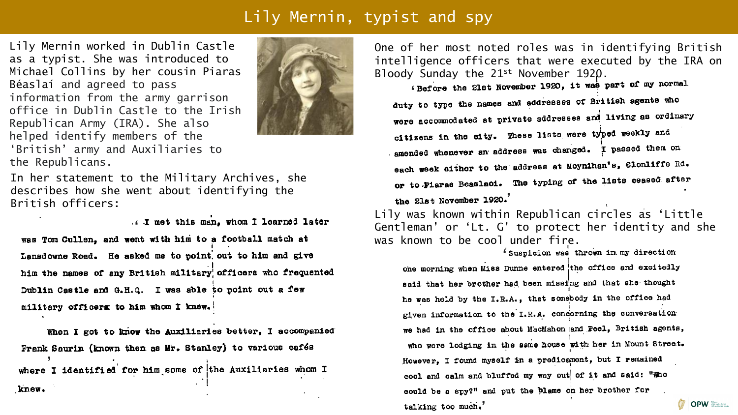## Lily Mernin, typist and spy

Lily Mernin worked in Dublin Castle as a typist. She was introduced to Michael Collins by her cousin Piaras Béaslaí and agreed to pass information from the army garrison office in Dublin Castle to the Irish Republican Army (IRA). She also helped identify members of the 'British' army and Auxiliaries to the Republicans.



In her statement to the Military Archives, she describes how she went about identifying the British officers:

I met this man. whom I learned later

was Tom Cullen, and went with him to a football match at Lansdowne Road. He asked me to point, out to him and give him the names of any British military officers who frequented Dublin Castle and G.H.Q. I was able to point out a few military officers to him whom I knew.

When I got to know the Auxiliaries better, I accompanied Frank Saurin (known then as Mr. Stanley) to various cafés where I identified for him some of the Auxiliaries whom I knew.

One of her most noted roles was in identifying British intelligence officers that were executed by the IRA on Bloody Sunday the 21st November 1920.

'Before the 21st November 1920, it was part of my normal<br>duty to type the names and addresses of British agents who were accommodated at private addresses and living as ordinary citizens in the city. These lists were typed weekly and - amended whenever an address was changed. I passed them on each week either to the address at Moynihan's, Clonliffe Rd. or to Piaras Beaslaci. The typing of the lists ceased after the 21st November 1920.

Lily was known within Republican circles as 'Little Gentleman' or 'Lt. G' to protect her identity and she was known to be cool under fire.

' Suspicion was thrown in my direction

one morning when Miss Dunne entered the office and excitedly said that her brother had been missing and that she thought he was held by the I.R.A., that somebody in the office had given information to the I.R.A. concerning the conversation we had in the office about MacMahon and Peel, British agents, who were lodging in the same house with her in Mount Street. However. I found myself in a predicament, but I remained cool and calm and bluffed my way out of it and said: "Who could be a spy?" and put the plame on her brother for **OPW** talking too much.'